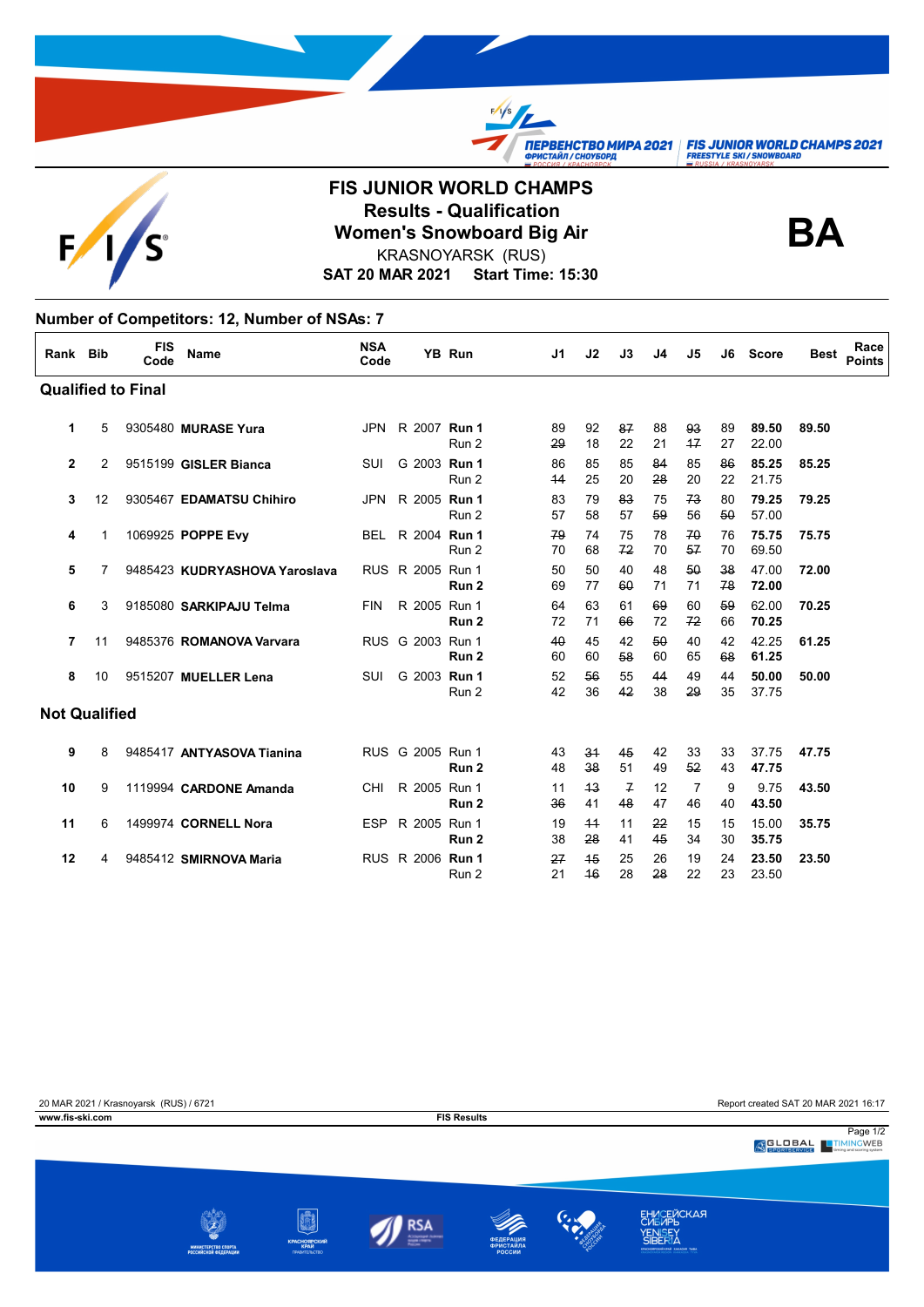

## **FIS JUNIOR WORLD CHAMPS Results - Qualification<br>
Women's Snowboard Big Air**<br> **BA** KRASNOYARSK (RUS)

 $\frac{f}{f}$ 

**TIEPBEHCTBO MUPA 2021 FIS JUNIOR WORLD CHAMPS 2021**<br> **OPUCTAЙЛ/CHOYSOPA**<br>
FREESTYLE SKI/SNOWBOARD

**SAT 20 MAR 2021 Start Time: 15:30**

## **Number of Competitors: 12, Number of NSAs: 7**

| Rank Bib             |    | <b>FIS</b><br>Code        | Name                          | <b>NSA</b><br>Code |                  | YB Run | J1       | J <sub>2</sub> | J3                   | J4       | J5         | J6       | <b>Score</b>   | Best  | Race<br><b>Points</b> |
|----------------------|----|---------------------------|-------------------------------|--------------------|------------------|--------|----------|----------------|----------------------|----------|------------|----------|----------------|-------|-----------------------|
|                      |    | <b>Qualified to Final</b> |                               |                    |                  |        |          |                |                      |          |            |          |                |       |                       |
| 1                    | 5  |                           | 9305480 MURASE Yura           |                    | JPN R 2007 Run 1 | Run 2  | 89<br>29 | 92<br>18       | 87<br>22             | 88<br>21 | 93<br>$+7$ | 89<br>27 | 89.50<br>22.00 | 89.50 |                       |
| $\mathbf{2}$         | 2  |                           | 9515199 GISLER Bianca         | SUI                | G 2003 Run 1     | Run 2  | 86<br>44 | 85<br>25       | 85<br>20             | 84<br>28 | 85<br>20   | 86<br>22 | 85.25<br>21.75 | 85.25 |                       |
| 3                    | 12 |                           | 9305467 EDAMATSU Chihiro      | <b>JPN</b>         | R 2005 Run 1     | Run 2  | 83<br>57 | 79<br>58       | 83<br>57             | 75<br>59 | 73<br>56   | 80<br>50 | 79.25<br>57.00 | 79.25 |                       |
| 4                    | 1  |                           | 1069925 POPPE Evy             |                    | BEL R 2004 Run 1 | Run 2  | 79<br>70 | 74<br>68       | 75<br>72             | 78<br>70 | 70<br>57   | 76<br>70 | 75.75<br>69.50 | 75.75 |                       |
| 5                    | 7  |                           | 9485423 KUDRYASHOVA Yaroslava |                    | RUS R 2005 Run 1 | Run 2  | 50<br>69 | 50<br>77       | 40<br>60             | 48<br>71 | 50<br>71   | 38<br>78 | 47.00<br>72.00 | 72.00 |                       |
| 6                    | 3  |                           | 9185080 SARKIPAJU Telma       | FIN                | R 2005 Run 1     | Run 2  | 64<br>72 | 63<br>71       | 61<br>66             | 69<br>72 | 60<br>72   | 59<br>66 | 62.00<br>70.25 | 70.25 |                       |
| 7                    | 11 |                           | 9485376 ROMANOVA Varvara      |                    | RUS G 2003 Run 1 | Run 2  | 40<br>60 | 45<br>60       | 42<br>58             | 50<br>60 | 40<br>65   | 42<br>68 | 42.25<br>61.25 | 61.25 |                       |
| 8                    | 10 |                           | 9515207 MUELLER Lena          | SUI                | G 2003 Run 1     | Run 2  | 52<br>42 | 56<br>36       | 55<br>42             | 44<br>38 | 49<br>29   | 44<br>35 | 50.00<br>37.75 | 50.00 |                       |
| <b>Not Qualified</b> |    |                           |                               |                    |                  |        |          |                |                      |          |            |          |                |       |                       |
| 9                    | 8  |                           | 9485417 ANTYASOVA Tianina     |                    | RUS G 2005 Run 1 | Run 2  | 43<br>48 | 34<br>38       | 45<br>51             | 42<br>49 | 33<br>52   | 33<br>43 | 37.75<br>47.75 | 47.75 |                       |
| 10                   | 9  |                           | 1119994 CARDONE Amanda        | CHI                | R 2005 Run 1     | Run 2  | 11<br>36 | 43<br>41       | $\overline{f}$<br>48 | 12<br>47 | 7<br>46    | 9<br>40  | 9.75<br>43.50  | 43.50 |                       |
| 11                   | 6  |                           | 1499974 CORNELL Nora          |                    | ESP R 2005 Run 1 | Run 2  | 19<br>38 | 44<br>28       | 11<br>41             | 22<br>45 | 15<br>34   | 15<br>30 | 15.00<br>35.75 | 35.75 |                       |
| 12                   | 4  |                           | 9485412 SMIRNOVA Maria        |                    | RUS R 2006 Run 1 | Run 2  | 27<br>21 | 45<br>46       | 25<br>28             | 26<br>28 | 19<br>22   | 24<br>23 | 23.50<br>23.50 | 23.50 |                       |

| 20 MAR 2021 / Krasnoyarsk (RUS) / 6721<br>www.fis-ski.com |                                             |                                              | <b>FIS Results</b>                            |                                         |                                                                        | Report created SAT 20 MAR 2021 16:17 |
|-----------------------------------------------------------|---------------------------------------------|----------------------------------------------|-----------------------------------------------|-----------------------------------------|------------------------------------------------------------------------|--------------------------------------|
|                                                           |                                             |                                              |                                               |                                         |                                                                        | Page 1/2<br><b>SLOBAL</b> TIMINGWEB  |
|                                                           |                                             |                                              |                                               |                                         |                                                                        |                                      |
|                                                           | МИНИСТЕРСТВО СПОРТА<br>РОССИЙСКОЙ ФЕДЕРАЦИИ | <b>КРАСНОЯРСКИЙ</b><br>КРАЙ<br>ПРАВИТЕЛЬСТВО | ≷SA<br>Accountaged chairman<br>means cropping | <b>ФЕДЕРАЦИЯ</b><br>ФРИСТАЙЛА<br>РОССИИ | <b>ЕНИСЕЙСКАЯ</b><br><b>YENISEY</b><br>KPACHOSPODIŘIOPAŘ XAKACHS THIM. |                                      |